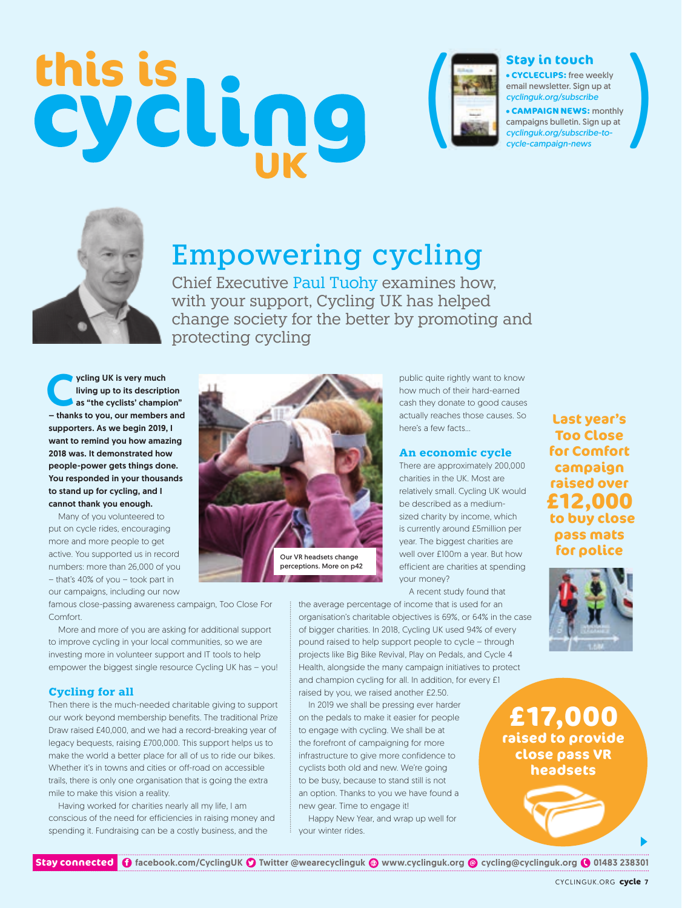# **this is** ( ( **Stay in touch**



**CYCLECLIPS:** free weekly email newsletter. Sign up at *cyclinguk.org/subscribe*

**CAMPAIGN NEWS:** monthly campaigns bulletin. Sign up at *cyclinguk.org/subscribe-tocycle-campaign-news*



# Empowering cycling

Chief Executive Paul Tuohy examines how, with your support, Cycling UK has helped change society for the better by promoting and protecting cycling

ycling UK is very much<br>living up to its descript<br>as "the cyclists' champi living up to its description as "the cyclists' champion" – thanks to you, our members and supporters. As we begin 2019, I want to remind you how amazing 2018 was. It demonstrated how people-power gets things done. You responded in your thousands to stand up for cycling, and I cannot thank you enough.

Many of you volunteered to put on cycle rides, encouraging more and more people to get active. You supported us in record numbers: more than 26,000 of you – that's 40% of you – took part in our campaigns, including our now Our VR headsets change perceptions. More on p42

public quite rightly want to know how much of their hard-earned cash they donate to good causes actually reaches those causes. So here's a few facts…

### **An economic cycle**

There are approximately 200,000 charities in the UK. Most are relatively small. Cycling UK would be described as a mediumsized charity by income, which is currently around £5million per year. The biggest charities are well over £100m a year. But how efficient are charities at spending your money?

A recent study found that the average percentage of income that is used for an

**Last year's Too Close for Comfort campaign raised over £12,000 to buy close pass mats for police**

famous close-passing awareness campaign, Too Close For Comfort.

More and more of you are asking for additional support to improve cycling in your local communities, so we are investing more in volunteer support and IT tools to help empower the biggest single resource Cycling UK has – you!

## **Cycling for all**

Then there is the much-needed charitable giving to support our work beyond membership benefits. The traditional Prize Draw raised £40,000, and we had a record-breaking year of legacy bequests, raising £700,000. This support helps us to make the world a better place for all of us to ride our bikes. Whether it's in towns and cities or off-road on accessible trails, there is only one organisation that is going the extra mile to make this vision a reality.

Having worked for charities nearly all my life, I am conscious of the need for efficiencies in raising money and spending it. Fundraising can be a costly business, and the

of bigger charities. In 2018, Cycling UK used 94% of every pound raised to help support people to cycle – through projects like Big Bike Revival, Play on Pedals, and Cycle 4 Health, alongside the many campaign initiatives to protect and champion cycling for all. In addition, for every £1 raised by you, we raised another £2.50. In 2019 we shall be pressing ever harder on the pedals to make it easier for people

organisation's charitable objectives is 69%, or 64% in the case

to engage with cycling. We shall be at the forefront of campaigning for more infrastructure to give more confidence to cyclists both old and new. We're going to be busy, because to stand still is not an option. Thanks to you we have found a new gear. Time to engage it!

Happy New Year, and wrap up well for your winter rides.



**Stay connected 1** facebook.com/CyclingUK 1 Twitter @wearecyclinguk @ www.cyclinguk.org @ cycling@cyclinguk.org 101483 238301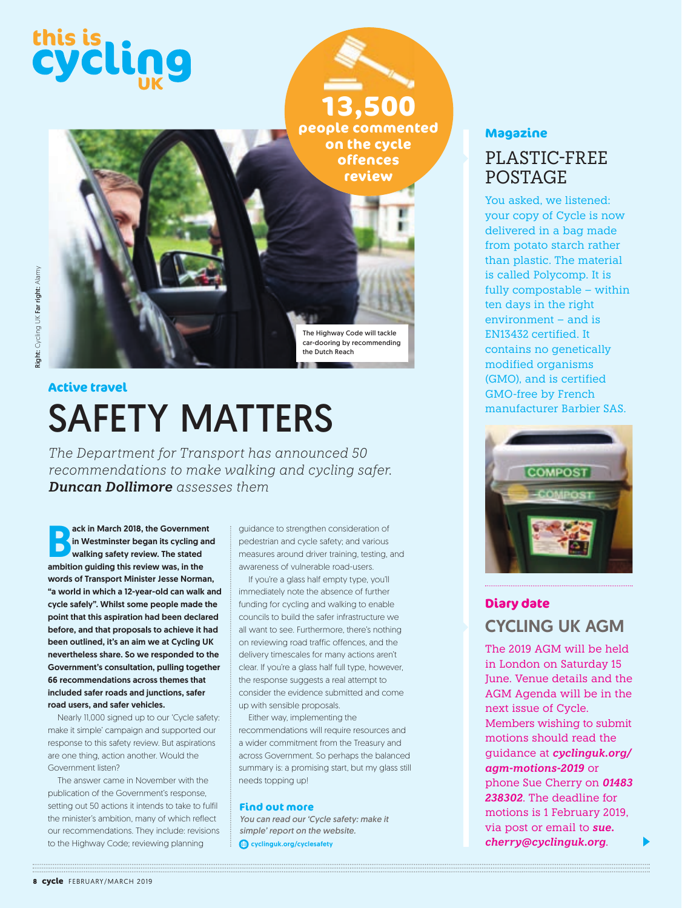

# SAFETY MATTERS **Active travel**

*The Department for Transport has announced 50 recommendations to make walking and cycling safer. Duncan Dollimore assesses them*

ack in March 2018, the Governmen<br>in Westminster began its cycling a<br>walking safety review. The stated<br>ambition guiding this review was, in the ack in March 2018, the Government in Westminster began its cycling and walking safety review. The stated words of Transport Minister Jesse Norman, "a world in which a 12-year-old can walk and cycle safely". Whilst some people made the point that this aspiration had been declared before, and that proposals to achieve it had been outlined, it's an aim we at Cycling UK nevertheless share. So we responded to the Government's consultation, pulling together 66 recommendations across themes that included safer roads and junctions, safer road users, and safer vehicles.

Nearly 11,000 signed up to our 'Cycle safety: make it simple' campaign and supported our response to this safety review. But aspirations are one thing, action another. Would the Government listen?

The answer came in November with the publication of the Government's response, setting out 50 actions it intends to take to fulfil the minister's ambition, many of which reflect our recommendations. They include: revisions to the Highway Code; reviewing planning

guidance to strengthen consideration of pedestrian and cycle safety; and various measures around driver training, testing, and awareness of vulnerable road-users.

If you're a glass half empty type, you'll immediately note the absence of further funding for cycling and walking to enable councils to build the safer infrastructure we all want to see. Furthermore, there's nothing on reviewing road traffic offences, and the delivery timescales for many actions aren't clear. If you're a glass half full type, however, the response suggests a real attempt to consider the evidence submitted and come up with sensible proposals.

Either way, implementing the recommendations will require resources and a wider commitment from the Treasury and across Government. So perhaps the balanced summary is: a promising start, but my glass still needs topping up!

### **Find out more**

*You can read our 'Cycle safety: make it simple' report on the website.* cyclinguk.org/cyclesafety

# **Magazine**

# PLASTIC-FREE POSTAGE

You asked, we listened: your copy of Cycle is now delivered in a bag made from potato starch rather than plastic. The material is called Polycomp. It is fully compostable – within ten days in the right environment – and is EN13432 certified. It contains no genetically modified organisms (GMO), and is certified GMO-free by French manufacturer Barbier SAS.



# **Diary date** CYCLING UK AGM

The 2019 AGM will be held in London on Saturday 15 June. Venue details and the AGM Agenda will be in the next issue of Cycle. Members wishing to submit motions should read the guidance at *cyclinguk.org/ agm-motions-2019* or phone Sue Cherry on *01483 238302*. The deadline for motions is 1 February 2019, via post or email to *sue. cherry@cyclinguk.org*.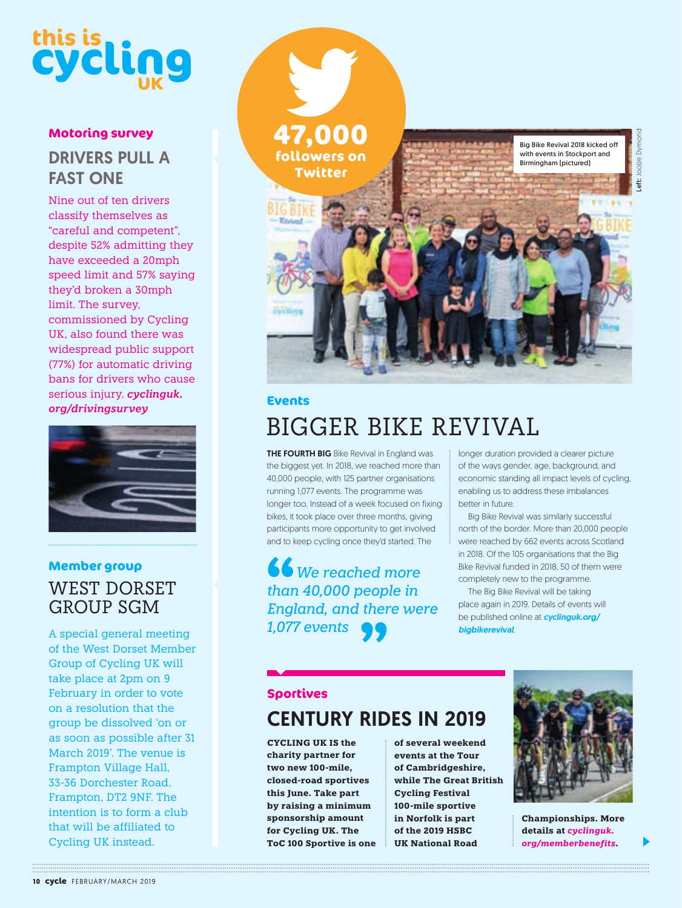# **this is**

# **Motoring survey** DRIVERS PULL A FAST ONE

Nine out of ten drivers classify themselves as "careful and competent", despite 52% admitting they have exceeded a 20mph speed limit and 57% saying they'd broken a 30mph limit. The survey, commissioned by Cycling UK, also found there was widespread public support (77%) for automatic driving bans for drivers who cause serious injury. *cyclinguk. org/drivingsurvey*



# **Member group** WEST DORSET GROUP SGM

A special general meeting of the West Dorset Member Group of Cycling UK will take place at 2pm on 9 February in order to vote on a resolution that the group be dissolved 'on or as soon as possible after 31 March 2019'. The venue is Frampton Village Hall, 33-36 Dorchester Road, Frampton, DT2 9NF. The intention is to form a club that will be affiliated to Cycling UK instead.



# **Events**

# BIGGER BIKE REVIVAL

**THE FOURTH BIG** Bike Revival in England was the biggest yet. In 2018, we reached more than 40,000 people, with 125 partner organisations running 1,077 events. The programme was longer too. Instead of a week focused on fixing bikes, it took place over three months, giving participants more opportunity to get involved and to keep cycling once they'd started. The

*We reached more than 40,000 people in England, and there were 1,077 events*

longer duration provided a clearer picture of the ways gender, age, background, and economic standing all impact levels of cycling, enabling us to address these imbalances better in future.

Big Bike Revival was similarly successful north of the border. More than 20,000 people were reached by 662 events across Scotland in 2018. Of the 105 organisations that the Big Bike Revival funded in 2018, 50 of them were completely new to the programme.

The Big Bike Revival will be taking place again in 2019. Details of events will be published online at *cyclinguk.org/ bigbikerevival*.

# **Sportives** CENTURY RIDES IN 2019

**CYCLING UK IS the charity partner for two new 100-mile, closed-road sportives this June. Take part by raising a minimum sponsorship amount for Cycling UK. The ToC 100 Sportive is one**  **of several weekend events at the Tour of Cambridgeshire, while The Great British Cycling Festival 100-mile sportive in Norfolk is part of the 2019 HSBC UK National Road** 



**Championships. More details at** *cyclinguk. org/memberbenefits***.**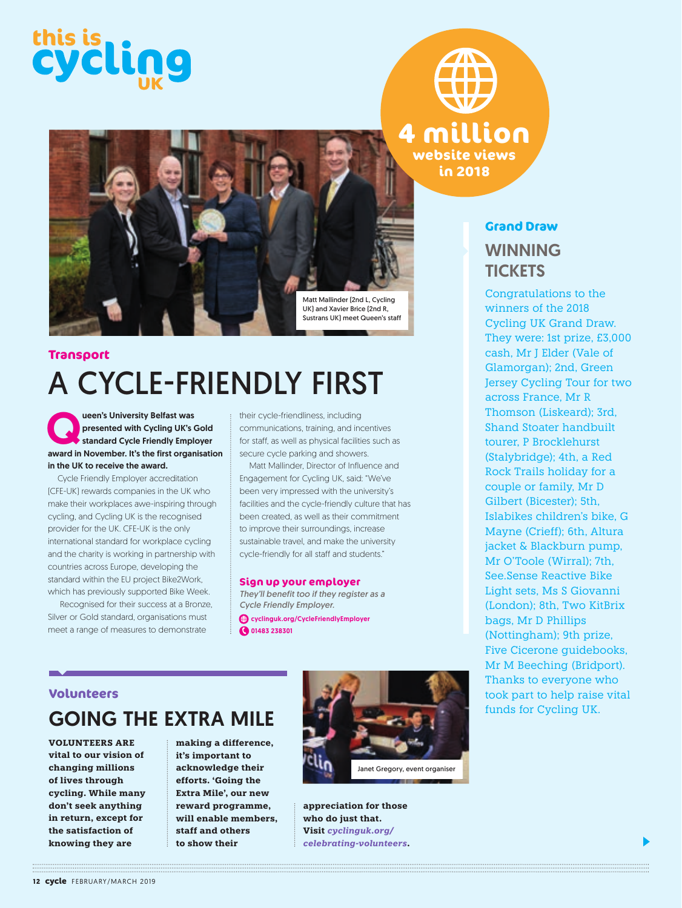



# A CYCLE-FRIENDLY FIRST **Transport**

veen's University Belfast was<br>
presented with Cycling UK's Gold<br>
standard Cycle Friendly Employer<br>
award in November, It's the first creanisation presented with Cycling UK's Gold award in November. It's the first organisation in the UK to receive the award.

Cycle Friendly Employer accreditation (CFE-UK) rewards companies in the UK who make their workplaces awe-inspiring through cycling, and Cycling UK is the recognised provider for the UK. CFE-UK is the only international standard for workplace cycling and the charity is working in partnership with countries across Europe, developing the standard within the EU project Bike2Work, which has previously supported Bike Week.

 Recognised for their success at a Bronze, Silver or Gold standard, organisations must meet a range of measures to demonstrate

their cycle-friendliness, including communications, training, and incentives for staff, as well as physical facilities such as secure cycle parking and showers.

Matt Mallinder, Director of Influence and Engagement for Cycling UK, said: "We've been very impressed with the university's facilities and the cycle-friendly culture that has been created, as well as their commitment to improve their surroundings, increase sustainable travel, and make the university cycle-friendly for all staff and students."

### **Sign up your employer**

*They'll benefit too if they register as a Cycle Friendly Employer.*  cyclinguk.org/CycleFriendlyEmployer

**@** 01483 238301

## **Volunteers**

# GOING THE EXTRA MILE

**VOLUNTEERS ARE vital to our vision of changing millions of lives through cycling. While many don't seek anything in return, except for the satisfaction of knowing they are** 

**making a difference, it's important to acknowledge their efforts. 'Going the Extra Mile', our new reward programme, will enable members, staff and others to show their** 



**appreciation for those who do just that. Visit** *cyclinguk.org/ celebrating-volunteers***.**

**Grand Draw WINNING** 

**in 2018**

Congratulations to the winners of the 2018 Cycling UK Grand Draw. They were: 1st prize, £3,000 cash, Mr J Elder (Vale of Glamorgan); 2nd, Green Jersey Cycling Tour for two across France, Mr R Thomson (Liskeard); 3rd, Shand Stoater handbuilt tourer, P Brocklehurst (Stalybridge); 4th, a Red Rock Trails holiday for a couple or family, Mr D Gilbert (Bicester); 5th, Islabikes children's bike, G Mayne (Crieff); 6th, Altura jacket & Blackburn pump, Mr O'Toole (Wirral); 7th, See.Sense Reactive Bike Light sets, Ms S Giovanni (London); 8th, Two KitBrix bags, Mr D Phillips (Nottingham); 9th prize, Five Cicerone guidebooks, Mr M Beeching (Bridport). Thanks to everyone who took part to help raise vital **TICKETS** 

funds for Cycling UK.